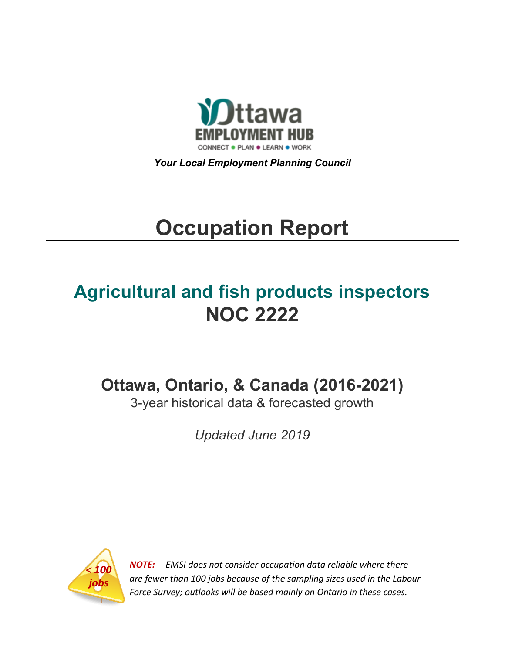

*Your Local Employment Planning Council*

# **Occupation Report**

# **Agricultural and fish products inspectors NOC 2222**

**Ottawa, Ontario, & Canada (2016-2021)**

3-year historical data & forecasted growth

*Updated June 2019*



*NOTE: EMSI does not consider occupation data reliable where there are fewer than 100 jobs because of the sampling sizes used in the Labour Force Survey; outlooks will be based mainly on Ontario in these cases.*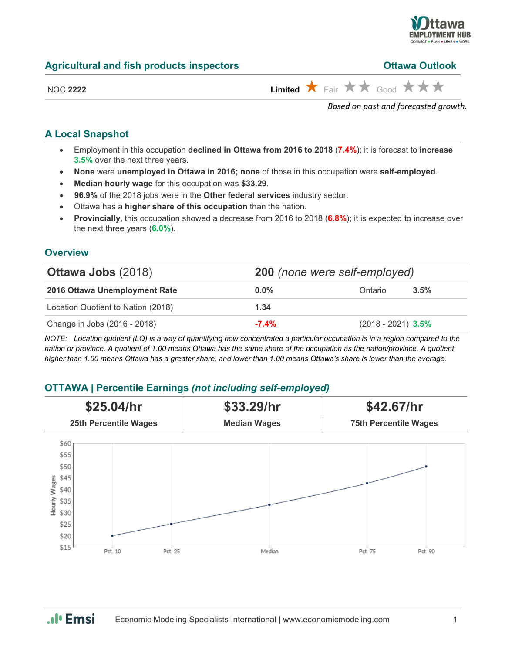

| <b>Agricultural and fish products inspectors</b> | <b>Ottawa Outlook</b> |
|--------------------------------------------------|-----------------------|
|--------------------------------------------------|-----------------------|

| <b>Ottawa Outlook</b> |
|-----------------------|
|                       |

| חחו | , |
|-----|---|
|     |   |

 $L$ imited  $\star$  Fair  $\star\star$  Good  $\star\star\star$ 

*Based on past and forecasted growth.*

#### **A Local Snapshot**

- Employment in this occupation **declined in Ottawa from 2016 to 2018** (**7.4%**); it is forecast to **increase 3.5%** over the next three years.
- **None** were **unemployed in Ottawa in 2016; none** of those in this occupation were **self-employed**.
- **Median hourly wage** for this occupation was **\$33.29**.
- **96.9%** of the 2018 jobs were in the **Other federal services** industry sector.
- Ottawa has a **higher share of this occupation** than the nation.
- **Provincially**, this occupation showed a decrease from 2016 to 2018 (**6.8%**); it is expected to increase over the next three years (**6.0%**).

#### **Overview**

| <b>Ottawa Jobs (2018)</b>          | <b>200</b> (none were self-employed) |                      |         |
|------------------------------------|--------------------------------------|----------------------|---------|
| 2016 Ottawa Unemployment Rate      | $0.0\%$                              | Ontario              | $3.5\%$ |
| Location Quotient to Nation (2018) | 1.34                                 |                      |         |
| Change in Jobs (2016 - 2018)       | $-7.4%$                              | $(2018 - 2021)$ 3.5% |         |

*NOTE: Location quotient (LQ) is a way of quantifying how concentrated a particular occupation is in a region compared to the nation or province. A quotient of 1.00 means Ottawa has the same share of the occupation as the nation/province. A quotient higher than 1.00 means Ottawa has a greater share, and lower than 1.00 means Ottawa's share is lower than the average.*

## **OTTAWA | Percentile Earnings** *(not including self-employed)*



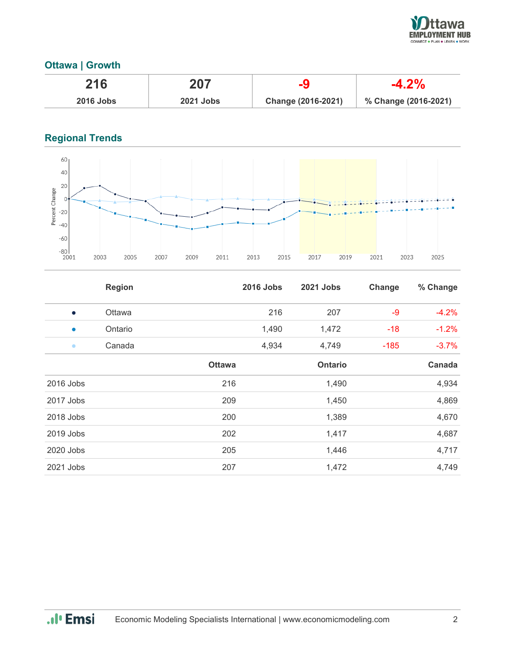

## **Ottawa | Growth**

| 216              | 207              |                    |                      |
|------------------|------------------|--------------------|----------------------|
| <b>2016 Jobs</b> | <b>2021 Jobs</b> | Change (2016-2021) | % Change (2016-2021) |

# **Regional Trends**



|           | <b>Region</b> |               | <b>2016 Jobs</b> | 2021 Jobs | Change | % Change |
|-----------|---------------|---------------|------------------|-----------|--------|----------|
| $\bullet$ | Ottawa        |               | 216              | 207       | $-9$   | $-4.2%$  |
| $\bullet$ | Ontario       |               | 1,490            | 1,472     | $-18$  | $-1.2%$  |
| $\bullet$ | Canada        |               | 4,934            | 4,749     | $-185$ | $-3.7%$  |
|           |               | <b>Ottawa</b> |                  | Ontario   |        | Canada   |
| 2016 Jobs |               | 216           |                  | 1,490     |        | 4,934    |
| 2017 Jobs |               | 209           |                  | 1,450     |        | 4,869    |
| 2018 Jobs |               | 200           |                  | 1,389     |        | 4,670    |
| 2019 Jobs |               | 202           |                  | 1,417     |        | 4,687    |
| 2020 Jobs |               | 205           |                  | 1,446     |        | 4,717    |
| 2021 Jobs |               | 207           |                  | 1,472     |        | 4,749    |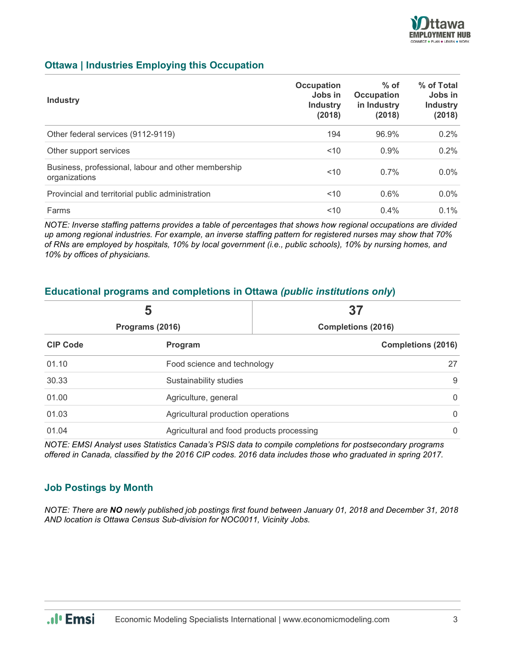

#### **Ottawa | Industries Employing this Occupation**

| <b>Industry</b>                                                      | Occupation<br>Jobs in<br><b>Industry</b><br>(2018) | $%$ of<br>Occupation<br>in Industry<br>(2018) | % of Total<br>Jobs in<br><b>Industry</b><br>(2018) |
|----------------------------------------------------------------------|----------------------------------------------------|-----------------------------------------------|----------------------------------------------------|
| Other federal services (9112-9119)                                   | 194                                                | 96.9%                                         | $0.2\%$                                            |
| Other support services                                               | ~10                                                | 0.9%                                          | $0.2\%$                                            |
| Business, professional, labour and other membership<br>organizations | ~10                                                | $0.7\%$                                       | $0.0\%$                                            |
| Provincial and territorial public administration                     | ~10                                                | 0.6%                                          | $0.0\%$                                            |
| Farms                                                                | 10<                                                | 0.4%                                          | $0.1\%$                                            |

*NOTE: Inverse staffing patterns provides a table of percentages that shows how regional occupations are divided up among regional industries. For example, an inverse staffing pattern for registered nurses may show that 70% of RNs are employed by hospitals, 10% by local government (i.e., public schools), 10% by nursing homes, and 10% by offices of physicians.*

#### **Educational programs and completions in Ottawa** *(public institutions only***)**

|                 | 5                                                    | 37                        |  |
|-----------------|------------------------------------------------------|---------------------------|--|
| Programs (2016) |                                                      | <b>Completions (2016)</b> |  |
| <b>CIP Code</b> | <b>Program</b>                                       | <b>Completions (2016)</b> |  |
| 01.10           | Food science and technology                          | 27                        |  |
| 30.33           | Sustainability studies                               |                           |  |
| 01.00           | $\overline{0}$<br>Agriculture, general               |                           |  |
| 01.03           | $\overline{0}$<br>Agricultural production operations |                           |  |
| 01.04           | Agricultural and food products processing            | $\mathbf{0}$              |  |

*NOTE: EMSI Analyst uses Statistics Canada's PSIS data to compile completions for postsecondary programs offered in Canada, classified by the 2016 CIP codes. 2016 data includes those who graduated in spring 2017.*

#### **Job Postings by Month**

*NOTE: There are NO newly published job postings first found between January 01, 2018 and December 31, 2018 AND location is Ottawa Census Sub-division for NOC0011, Vicinity Jobs.*